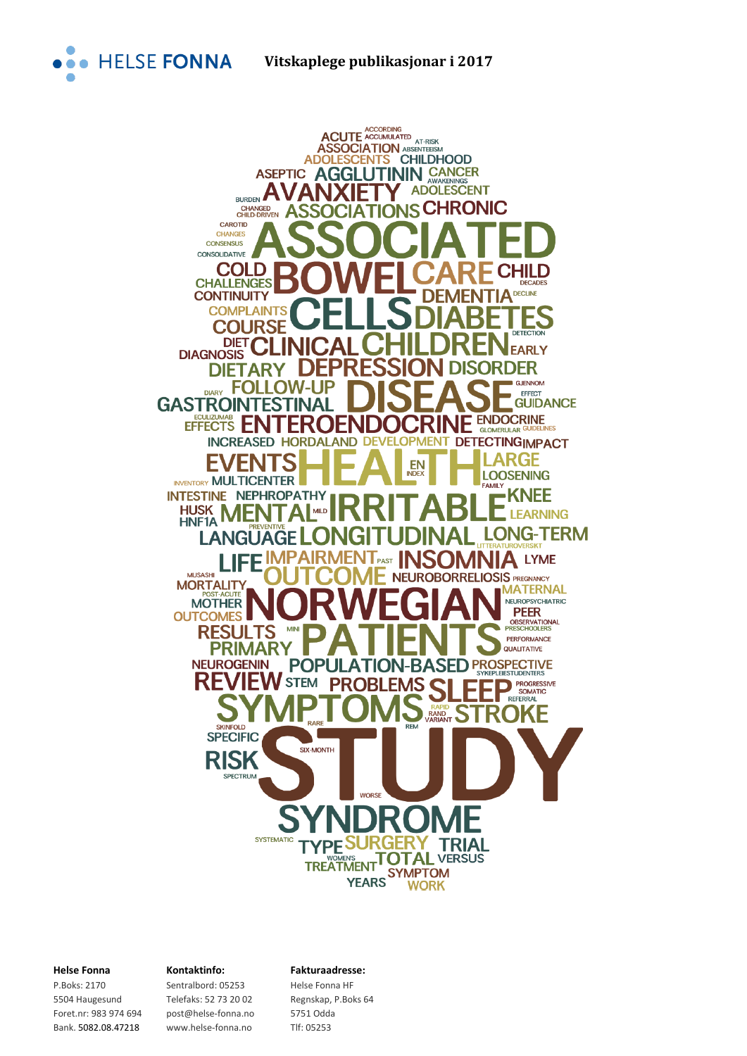

 $\overline{\phantom{a}}$ 



P.Boks: 2170 Sentralbord: 05253 Helse Fonna HF 5504 Haugesund Telefaks: 52 73 20 02 Regnskap, P.Boks 64 Foret.nr: 983 974 694 post@helse-fonna.no 5751 Odda Bank. 5082.08.47218 www.helse-fonna.no Tlf: 05253

# **Helse Fonna Kontaktinfo: Fakturaadresse:**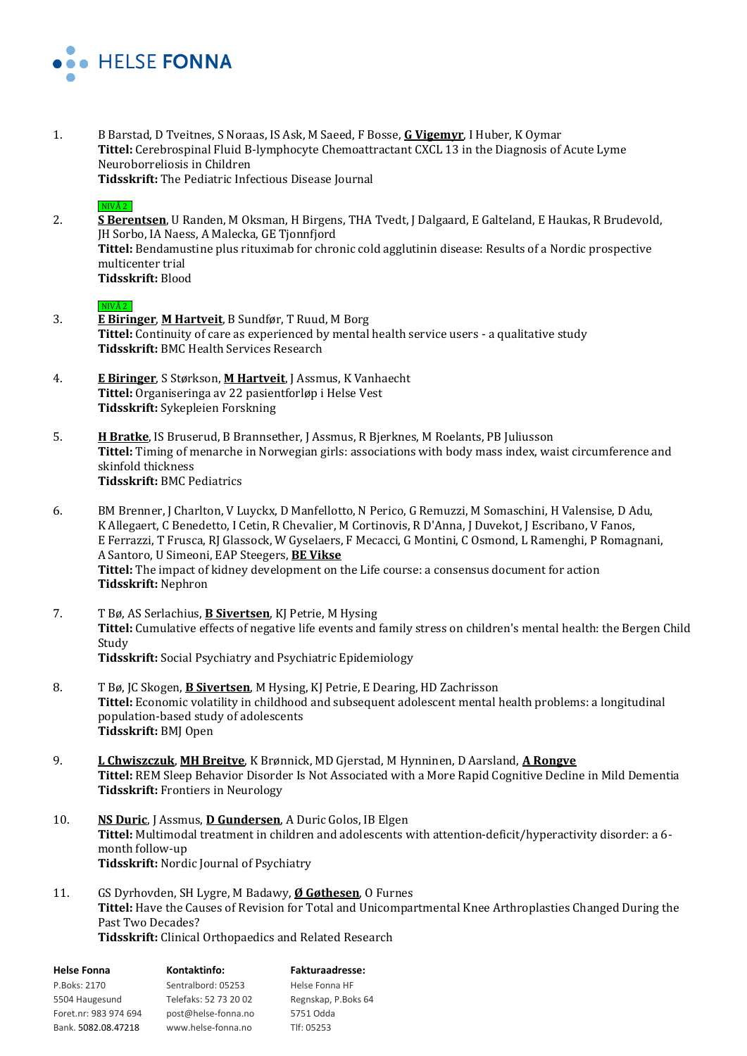

1. B Barstad, D Tveitnes, S Noraas, IS Ask, M Saeed, F Bosse, **G Vigemyr**, I Huber, K Oymar **Tittel:** Cerebrospinal Fluid B-lymphocyte Chemoattractant CXCL 13 in the Diagnosis of Acute Lyme Neuroborreliosis in Children **Tidsskrift:** The Pediatric Infectious Disease Journal

#### $NIVÅ 2$

2. **S Berentsen**, U Randen, M Oksman, H Birgens, THA Tvedt, J Dalgaard, E Galteland, E Haukas, R Brudevold, JH Sorbo, IA Naess, A Malecka, GE Tjonnfjord **Tittel:** Bendamustine plus rituximab for chronic cold agglutinin disease: Results of a Nordic prospective multicenter trial **Tidsskrift:** Blood

#### $NIVÅ$  2

- 3. **E Biringer**, **M Hartveit**, B Sundfør, T Ruud, M Borg **Tittel:** Continuity of care as experienced by mental health service users - a qualitative study **Tidsskrift:** BMC Health Services Research
- 4. **E Biringer**, S Størkson, **M Hartveit**, J Assmus, K Vanhaecht **Tittel:** Organiseringa av 22 pasientforløp i Helse Vest **Tidsskrift:** Sykepleien Forskning
- 5. **H Bratke**, IS Bruserud, B Brannsether, J Assmus, R Bjerknes, M Roelants, PB Juliusson **Tittel:** Timing of menarche in Norwegian girls: associations with body mass index, waist circumference and skinfold thickness **Tidsskrift:** BMC Pediatrics
- 6. BM Brenner, J Charlton, V Luyckx, D Manfellotto, N Perico, G Remuzzi, M Somaschini, H Valensise, D Adu, K Allegaert, C Benedetto, I Cetin, R Chevalier, M Cortinovis, R D'Anna, J Duvekot, J Escribano, V Fanos, E Ferrazzi, T Frusca, RJ Glassock, W Gyselaers, F Mecacci, G Montini, C Osmond, L Ramenghi, P Romagnani, A Santoro, U Simeoni, EAP Steegers, **BE Vikse Tittel:** The impact of kidney development on the Life course: a consensus document for action **Tidsskrift:** Nephron
- 7. T Bø, AS Serlachius, **B Sivertsen**, KJ Petrie, M Hysing **Tittel:** Cumulative effects of negative life events and family stress on children's mental health: the Bergen Child Study **Tidsskrift:** Social Psychiatry and Psychiatric Epidemiology
- 8. T Bø, JC Skogen, **B Sivertsen**, M Hysing, KJ Petrie, E Dearing, HD Zachrisson **Tittel:** Economic volatility in childhood and subsequent adolescent mental health problems: a longitudinal population-based study of adolescents **Tidsskrift:** BMJ Open
- 9. **L Chwiszczuk**, **MH Breitve**, K Brønnick, MD Gjerstad, M Hynninen, D Aarsland, **A Rongve Tittel:** REM Sleep Behavior Disorder Is Not Associated with a More Rapid Cognitive Decline in Mild Dementia **Tidsskrift:** Frontiers in Neurology
- 10. **NS Duric**, J Assmus, **D Gundersen**, A Duric Golos, IB Elgen **Tittel:** Multimodal treatment in children and adolescents with attention-deficit/hyperactivity disorder: a 6 month follow-up **Tidsskrift:** Nordic Journal of Psychiatry
- 11. GS Dyrhovden, SH Lygre, M Badawy, **Ø Gøthesen**, O Furnes **Tittel:** Have the Causes of Revision for Total and Unicompartmental Knee Arthroplasties Changed During the Past Two Decades? **Tidsskrift:** Clinical Orthopaedics and Related Research

| <b>Helse Fonna</b>    | Kontaktinfo:          | <b>Fakturaadresse:</b> |
|-----------------------|-----------------------|------------------------|
| P.Boks: 2170          | Sentralbord: 05253    | Helse Fonna HF         |
| 5504 Haugesund        | Telefaks: 52 73 20 02 | Regnskap, P.Boks 64    |
| Foret.nr: 983 974 694 | post@helse-fonna.no   | 5751 Odda              |
| Bank. 5082.08.47218   | www.helse-fonna.no    | Tlf: 05253             |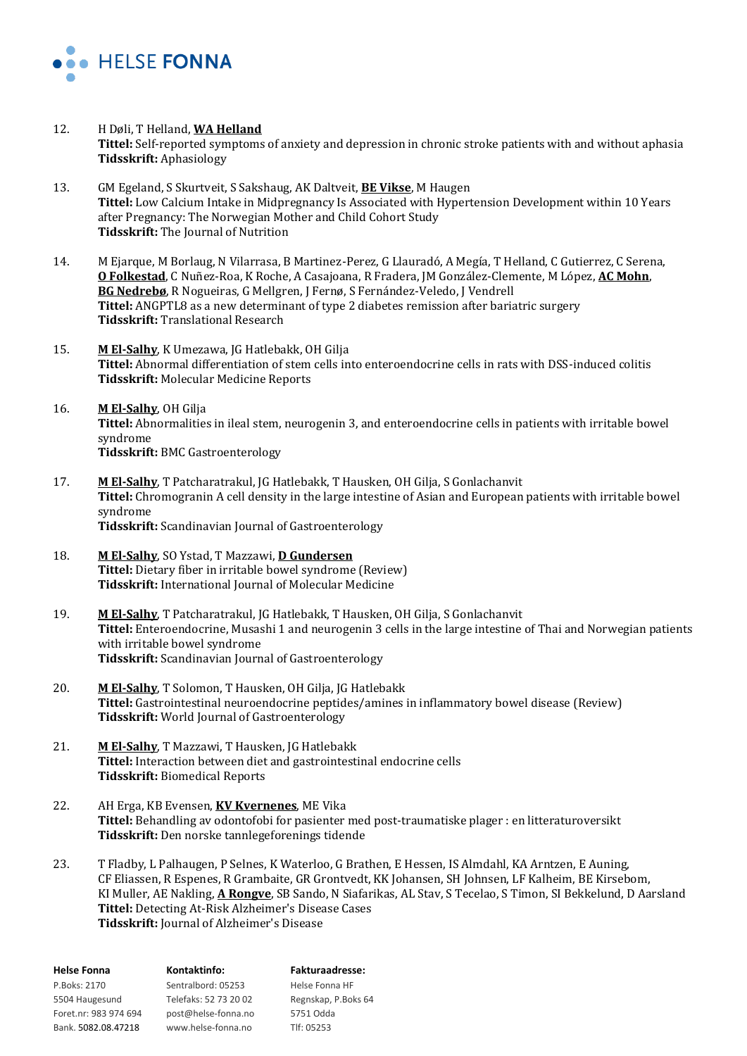

- 12. H Døli, T Helland, **WA Helland Tittel:** Self-reported symptoms of anxiety and depression in chronic stroke patients with and without aphasia **Tidsskrift:** Aphasiology
- 13. GM Egeland, S Skurtveit, S Sakshaug, AK Daltveit, **BE Vikse**, M Haugen **Tittel:** Low Calcium Intake in Midpregnancy Is Associated with Hypertension Development within 10 Years after Pregnancy: The Norwegian Mother and Child Cohort Study **Tidsskrift:** The Journal of Nutrition
- 14. M Ejarque, M Borlaug, N Vilarrasa, B Martinez-Perez, G Llauradó, A Megía, T Helland, C Gutierrez, C Serena, **O Folkestad**, C Nuñez-Roa, K Roche, A Casajoana, R Fradera, JM González-Clemente, M López, **AC Mohn**, **BG Nedrebø**, R Nogueiras, G Mellgren, J Fernø, S Fernández-Veledo, J Vendrell **Tittel:** ANGPTL8 as a new determinant of type 2 diabetes remission after bariatric surgery **Tidsskrift:** Translational Research
- 15. **M El-Salhy**, K Umezawa, JG Hatlebakk, OH Gilja **Tittel:** Abnormal differentiation of stem cells into enteroendocrine cells in rats with DSS-induced colitis **Tidsskrift:** Molecular Medicine Reports
- 16. **M El-Salhy**, OH Gilja **Tittel:** Abnormalities in ileal stem, neurogenin 3, and enteroendocrine cells in patients with irritable bowel syndrome **Tidsskrift:** BMC Gastroenterology
- 17. **M El-Salhy**, T Patcharatrakul, JG Hatlebakk, T Hausken, OH Gilja, S Gonlachanvit **Tittel:** Chromogranin A cell density in the large intestine of Asian and European patients with irritable bowel syndrome **Tidsskrift:** Scandinavian Journal of Gastroenterology
- 18. **M El-Salhy**, SO Ystad, T Mazzawi, **D Gundersen Tittel:** Dietary fiber in irritable bowel syndrome (Review) **Tidsskrift:** International Journal of Molecular Medicine
- 19. **M El-Salhy**, T Patcharatrakul, JG Hatlebakk, T Hausken, OH Gilja, S Gonlachanvit **Tittel:** Enteroendocrine, Musashi 1 and neurogenin 3 cells in the large intestine of Thai and Norwegian patients with irritable bowel syndrome **Tidsskrift:** Scandinavian Journal of Gastroenterology
- 20. **M El-Salhy**, T Solomon, T Hausken, OH Gilja, JG Hatlebakk **Tittel:** Gastrointestinal neuroendocrine peptides/amines in inflammatory bowel disease (Review) **Tidsskrift:** World Journal of Gastroenterology
- 21. **M El-Salhy**, T Mazzawi, T Hausken, JG Hatlebakk **Tittel:** Interaction between diet and gastrointestinal endocrine cells **Tidsskrift:** Biomedical Reports
- 22. AH Erga, KB Evensen, **KV Kvernenes**, ME Vika **Tittel:** Behandling av odontofobi for pasienter med post-traumatiske plager : en litteraturoversikt **Tidsskrift:** Den norske tannlegeforenings tidende
- 23. T Fladby, L Palhaugen, P Selnes, K Waterloo, G Brathen, E Hessen, IS Almdahl, KA Arntzen, E Auning, CF Eliassen, R Espenes, R Grambaite, GR Grontvedt, KK Johansen, SH Johnsen, LF Kalheim, BE Kirsebom, KI Muller, AE Nakling, **A Rongve**, SB Sando, N Siafarikas, AL Stav, S Tecelao, S Timon, SI Bekkelund, D Aarsland **Tittel:** Detecting At-Risk Alzheimer's Disease Cases **Tidsskrift:** Journal of Alzheimer's Disease

| <b>Helse Fonna</b>    | Kontaktinfo:          | <b>Fakturaadresse:</b> |
|-----------------------|-----------------------|------------------------|
| P.Boks: 2170          | Sentralbord: 05253    | Helse Fonna HF         |
| 5504 Haugesund        | Telefaks: 52 73 20 02 | Regnskap, P.Boks 64    |
| Foret.nr: 983 974 694 | post@helse-fonna.no   | 5751 Odda              |
| Bank. 5082.08.47218   | www.helse-fonna.no    | Tlf: 05253             |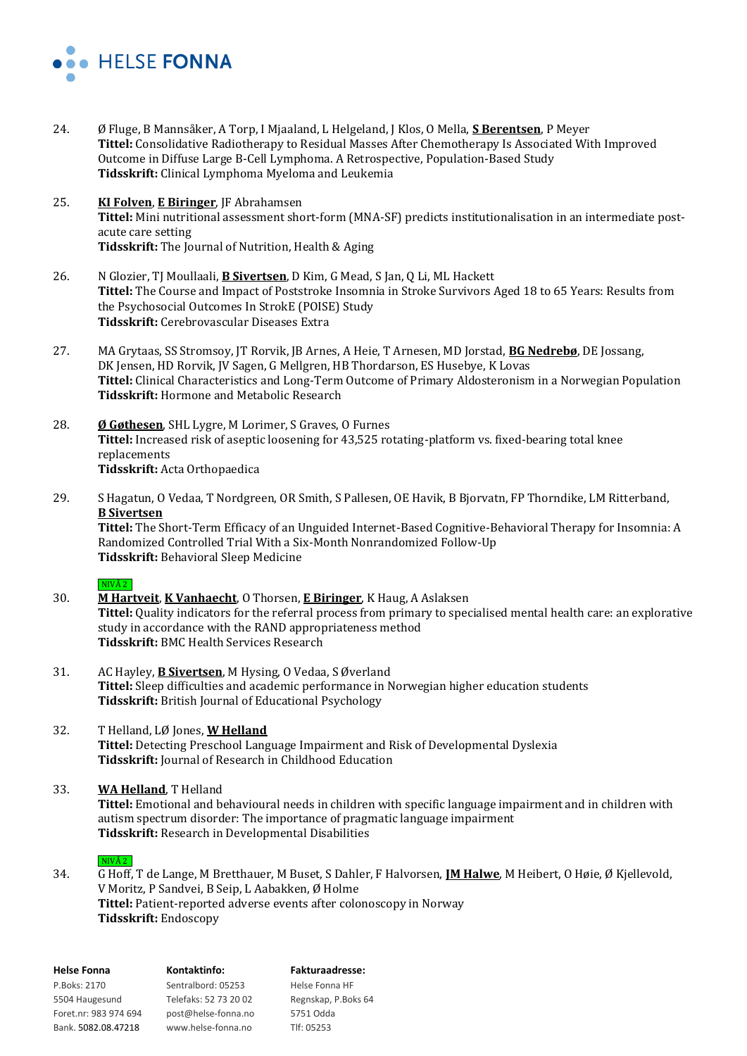

- 24. Ø Fluge, B Mannsåker, A Torp, I Mjaaland, L Helgeland, J Klos, O Mella, **S Berentsen**, P Meyer **Tittel:** Consolidative Radiotherapy to Residual Masses After Chemotherapy Is Associated With Improved Outcome in Diffuse Large B-Cell Lymphoma. A Retrospective, Population-Based Study **Tidsskrift:** Clinical Lymphoma Myeloma and Leukemia
- 25. **KI Folven**, **E Biringer**, JF Abrahamsen **Tittel:** Mini nutritional assessment short-form (MNA-SF) predicts institutionalisation in an intermediate postacute care setting **Tidsskrift:** The Journal of Nutrition, Health & Aging
- 26. N Glozier, TJ Moullaali, **B Sivertsen**, D Kim, G Mead, S Jan, Q Li, ML Hackett **Tittel:** The Course and Impact of Poststroke Insomnia in Stroke Survivors Aged 18 to 65 Years: Results from the Psychosocial Outcomes In StrokE (POISE) Study **Tidsskrift:** Cerebrovascular Diseases Extra
- 27. MA Grytaas, SS Stromsoy, JT Rorvik, JB Arnes, A Heie, T Arnesen, MD Jorstad, **BG Nedrebø**, DE Jossang, DK Jensen, HD Rorvik, JV Sagen, G Mellgren, HB Thordarson, ES Husebye, K Lovas **Tittel:** Clinical Characteristics and Long-Term Outcome of Primary Aldosteronism in a Norwegian Population **Tidsskrift:** Hormone and Metabolic Research
- 28. **Ø Gøthesen**, SHL Lygre, M Lorimer, S Graves, O Furnes **Tittel:** Increased risk of aseptic loosening for 43,525 rotating-platform vs. fixed-bearing total knee replacements **Tidsskrift:** Acta Orthopaedica
- 29. S Hagatun, O Vedaa, T Nordgreen, OR Smith, S Pallesen, OE Havik, B Bjorvatn, FP Thorndike, LM Ritterband, **B Sivertsen**

**Tittel:** The Short-Term Efficacy of an Unguided Internet-Based Cognitive-Behavioral Therapy for Insomnia: A Randomized Controlled Trial With a Six-Month Nonrandomized Follow-Up **Tidsskrift:** Behavioral Sleep Medicine

# $NIVÅ$  2

- 30. **M Hartveit**, **K Vanhaecht**, O Thorsen, **E Biringer**, K Haug, A Aslaksen **Tittel:** Quality indicators for the referral process from primary to specialised mental health care: an explorative study in accordance with the RAND appropriateness method **Tidsskrift:** BMC Health Services Research
- 31. AC Hayley, **B Sivertsen**, M Hysing, O Vedaa, S Øverland **Tittel:** Sleep difficulties and academic performance in Norwegian higher education students **Tidsskrift:** British Journal of Educational Psychology
- 32. T Helland, LØ Jones, **W Helland Tittel:** Detecting Preschool Language Impairment and Risk of Developmental Dyslexia **Tidsskrift:** Journal of Research in Childhood Education
- 33. **WA Helland**, T Helland **Tittel:** Emotional and behavioural needs in children with specific language impairment and in children with autism spectrum disorder: The importance of pragmatic language impairment **Tidsskrift:** Research in Developmental Disabilities

# $NIVÅ 2$

34. G Hoff, T de Lange, M Bretthauer, M Buset, S Dahler, F Halvorsen, **JM Halwe**, M Heibert, O Høie, Ø Kjellevold, V Moritz, P Sandvei, B Seip, L Aabakken, Ø Holme **Tittel:** Patient-reported adverse events after colonoscopy in Norway **Tidsskrift:** Endoscopy

| <b>Helse Fonna</b>    | Kontaktinfo:          | <b>Fakturaadresse:</b> |
|-----------------------|-----------------------|------------------------|
| P.Boks: 2170          | Sentralbord: 05253    | Helse Fonna HF         |
| 5504 Haugesund        | Telefaks: 52 73 20 02 | Regnskap, P.Boks 64    |
| Foret.nr: 983 974 694 | post@helse-fonna.no   | 5751 Odda              |
| Bank. 5082.08.47218   | www.helse-fonna.no    | Tlf: 05253             |
|                       |                       |                        |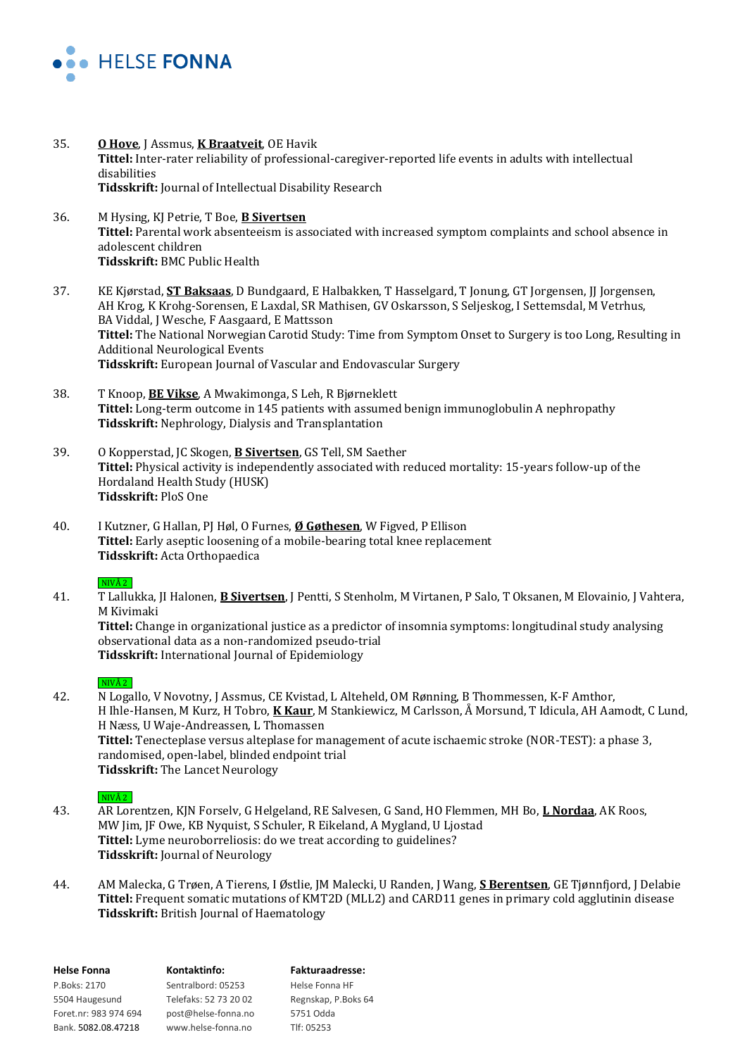

- 35. **O Hove**, J Assmus, **K Braatveit**, OE Havik **Tittel:** Inter-rater reliability of professional-caregiver-reported life events in adults with intellectual disabilities **Tidsskrift:** Journal of Intellectual Disability Research
- 36. M Hysing, KJ Petrie, T Boe, **B Sivertsen Tittel:** Parental work absenteeism is associated with increased symptom complaints and school absence in adolescent children **Tidsskrift:** BMC Public Health
- 37. KE Kjørstad, **ST Baksaas**, D Bundgaard, E Halbakken, T Hasselgard, T Jonung, GT Jorgensen, JJ Jorgensen, AH Krog, K Krohg-Sorensen, E Laxdal, SR Mathisen, GV Oskarsson, S Seljeskog, I Settemsdal, M Vetrhus, BA Viddal, J Wesche, F Aasgaard, E Mattsson **Tittel:** The National Norwegian Carotid Study: Time from Symptom Onset to Surgery is too Long, Resulting in Additional Neurological Events **Tidsskrift:** European Journal of Vascular and Endovascular Surgery
- 38. T Knoop, **BE Vikse**, A Mwakimonga, S Leh, R Bjørneklett **Tittel:** Long-term outcome in 145 patients with assumed benign immunoglobulin A nephropathy **Tidsskrift:** Nephrology, Dialysis and Transplantation
- 39. O Kopperstad, JC Skogen, **B Sivertsen**, GS Tell, SM Saether **Tittel:** Physical activity is independently associated with reduced mortality: 15-years follow-up of the Hordaland Health Study (HUSK) **Tidsskrift:** PloS One
- 40. I Kutzner, G Hallan, PJ Høl, O Furnes, **Ø Gøthesen**, W Figved, P Ellison **Tittel:** Early aseptic loosening of a mobile-bearing total knee replacement **Tidsskrift:** Acta Orthopaedica

# $NIVÅ 2$

41. T Lallukka, JI Halonen, **B Sivertsen**, J Pentti, S Stenholm, M Virtanen, P Salo, T Oksanen, M Elovainio, J Vahtera, M Kivimaki **Tittel:** Change in organizational justice as a predictor of insomnia symptoms: longitudinal study analysing observational data as a non-randomized pseudo-trial **Tidsskrift:** International Journal of Epidemiology

# $NIVÅ 2$

42. N Logallo, V Novotny, J Assmus, CE Kvistad, L Alteheld, OM Rønning, B Thommessen, K-F Amthor, H Ihle-Hansen, M Kurz, H Tobro, **K Kaur**, M Stankiewicz, M Carlsson, Å Morsund, T Idicula, AH Aamodt, C Lund, H Næss, U Waje-Andreassen, L Thomassen **Tittel:** Tenecteplase versus alteplase for management of acute ischaemic stroke (NOR-TEST): a phase 3, randomised, open-label, blinded endpoint trial **Tidsskrift:** The Lancet Neurology

# \_NIVÅ 2\_

- 43. AR Lorentzen, KJN Forselv, G Helgeland, RE Salvesen, G Sand, HO Flemmen, MH Bo, **L Nordaa**, AK Roos, MW Jim, JF Owe, KB Nyquist, S Schuler, R Eikeland, A Mygland, U Ljostad **Tittel:** Lyme neuroborreliosis: do we treat according to guidelines? **Tidsskrift:** Journal of Neurology
- 44. AM Malecka, G Trøen, A Tierens, I Østlie, JM Malecki, U Randen, J Wang, **S Berentsen**, GE Tjønnfjord, J Delabie **Tittel:** Frequent somatic mutations of KMT2D (MLL2) and CARD11 genes in primary cold agglutinin disease **Tidsskrift:** British Journal of Haematology

| <b>Helse Fonna</b>    | Kontaktinfo:          | <b>Fakturaadresse:</b> |
|-----------------------|-----------------------|------------------------|
| P.Boks: 2170          | Sentralbord: 05253    | Helse Fonna HF         |
| 5504 Haugesund        | Telefaks: 52 73 20 02 | Regnskap, P.Boks 64    |
| Foret.nr: 983 974 694 | post@helse-fonna.no   | 5751 Odda              |
| Bank. 5082.08.47218   | www.helse-fonna.no    | Tlf: 05253             |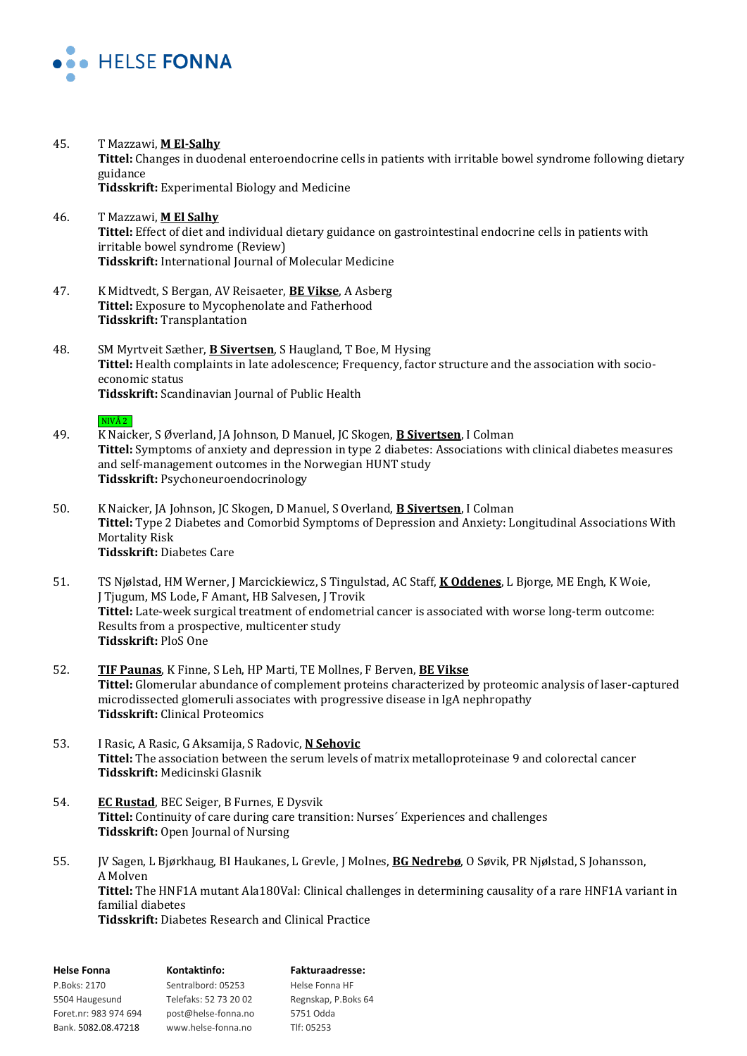

- 45. T Mazzawi, **M El-Salhy Tittel:** Changes in duodenal enteroendocrine cells in patients with irritable bowel syndrome following dietary guidance **Tidsskrift:** Experimental Biology and Medicine
- 46. T Mazzawi, **M El Salhy Tittel:** Effect of diet and individual dietary guidance on gastrointestinal endocrine cells in patients with irritable bowel syndrome (Review) **Tidsskrift:** International Journal of Molecular Medicine
- 47. K Midtvedt, S Bergan, AV Reisaeter, **BE Vikse**, A Asberg **Tittel:** Exposure to Mycophenolate and Fatherhood **Tidsskrift:** Transplantation
- 48. SM Myrtveit Sæther, **B Sivertsen**, S Haugland, T Boe, M Hysing **Tittel:** Health complaints in late adolescence; Frequency, factor structure and the association with socioeconomic status **Tidsskrift:** Scandinavian Journal of Public Health

#### $NIVÅ 2$

- 49. K Naicker, S Øverland, JA Johnson, D Manuel, JC Skogen, **B Sivertsen**, I Colman **Tittel:** Symptoms of anxiety and depression in type 2 diabetes: Associations with clinical diabetes measures and self-management outcomes in the Norwegian HUNT study **Tidsskrift:** Psychoneuroendocrinology
- 50. K Naicker, JA Johnson, JC Skogen, D Manuel, S Overland, **B Sivertsen**, I Colman **Tittel:** Type 2 Diabetes and Comorbid Symptoms of Depression and Anxiety: Longitudinal Associations With Mortality Risk **Tidsskrift:** Diabetes Care
- 51. TS Njølstad, HM Werner, J Marcickiewicz, S Tingulstad, AC Staff, **K Oddenes**, L Bjorge, ME Engh, K Woie, J Tjugum, MS Lode, F Amant, HB Salvesen, J Trovik **Tittel:** Late-week surgical treatment of endometrial cancer is associated with worse long-term outcome: Results from a prospective, multicenter study **Tidsskrift:** PloS One
- 52. **TIF Paunas**, K Finne, S Leh, HP Marti, TE Mollnes, F Berven, **BE Vikse Tittel:** Glomerular abundance of complement proteins characterized by proteomic analysis of laser-captured microdissected glomeruli associates with progressive disease in IgA nephropathy **Tidsskrift:** Clinical Proteomics
- 53. I Rasic, A Rasic, G Aksamija, S Radovic, **N Sehovic Tittel:** The association between the serum levels of matrix metalloproteinase 9 and colorectal cancer **Tidsskrift:** Medicinski Glasnik
- 54. **EC Rustad**, BEC Seiger, B Furnes, E Dysvik **Tittel:** Continuity of care during care transition: Nurses´ Experiences and challenges **Tidsskrift:** Open Journal of Nursing
- 55. JV Sagen, L Bjørkhaug, BI Haukanes, L Grevle, J Molnes, **BG Nedrebø**, O Søvik, PR Njølstad, S Johansson, A Molven **Tittel:** The HNF1A mutant Ala180Val: Clinical challenges in determining causality of a rare HNF1A variant in familial diabetes **Tidsskrift:** Diabetes Research and Clinical Practice

| <b>Helse Fonna</b>    | Kontaktinfo:          | <b>Fakturaadresse:</b> |
|-----------------------|-----------------------|------------------------|
| P.Boks: 2170          | Sentralbord: 05253    | Helse Fonna HF         |
| 5504 Haugesund        | Telefaks: 52 73 20 02 | Regnskap, P.Boks 64    |
| Foret.nr: 983 974 694 | post@helse-fonna.no   | 5751 Odda              |
| Bank. 5082.08.47218   | www.helse-fonna.no    | Tlf: 05253             |